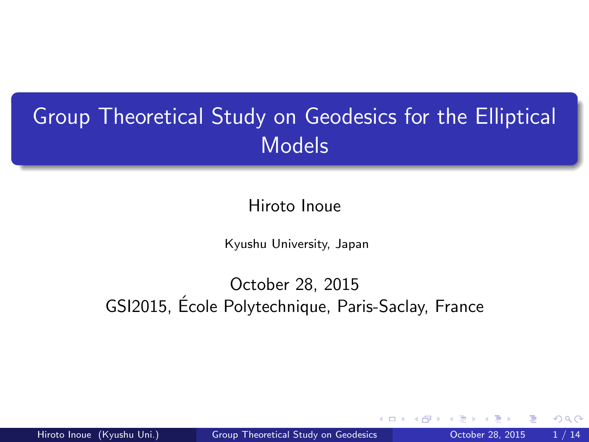# <span id="page-0-0"></span>Group Theoretical Study on Geodesics for the Elliptical Models

Hiroto Inoue

Kyushu University, Japan

October 28, 2015 GSI2015, Ecole Polytechnique, Paris-Saclay, France ´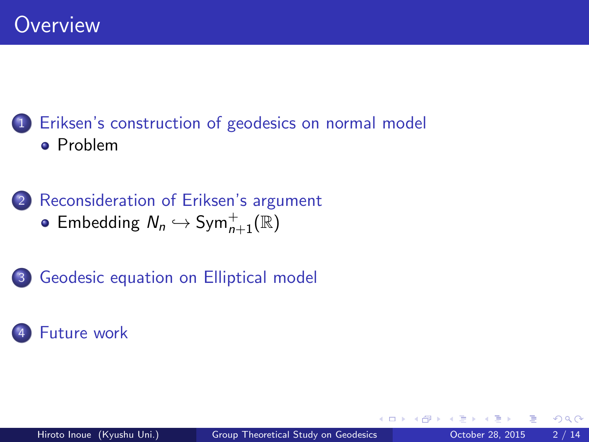## [Eriksen's construction of geodesics on normal model](#page-2-0) **•** [Problem](#page-2-0)

2 [Reconsideration of Eriksen's argument](#page-5-0) [Embedding](#page-6-0)  $N_n \hookrightarrow \text{Sym}_{n+1}^+(\mathbb{R})$ 

3 [Geodesic equation on Elliptical model](#page-9-0)

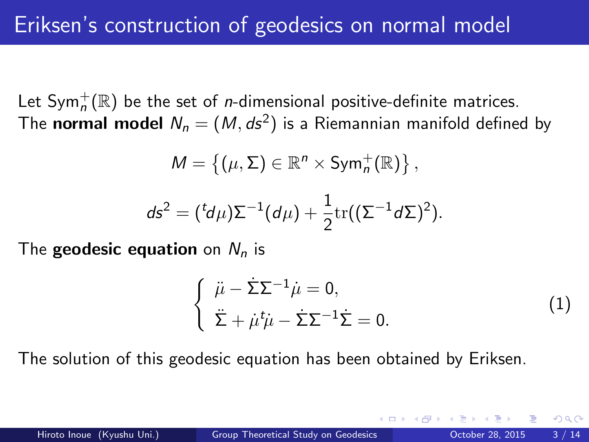<span id="page-2-0"></span>Let Sym $_n^+(\mathbb{R})$  be the set of *n*-dimensional positive-definite matrices. The **normal model**  $N_n = (M, ds^2)$  is a Riemannian manifold defined by

$$
M = \{ (\mu, \Sigma) \in \mathbb{R}^n \times \text{Sym}_n^+(\mathbb{R}) \},
$$
  

$$
ds^2 = {^td\mu} \Sigma^{-1}(d\mu) + \frac{1}{2}\text{tr}((\Sigma^{-1}d\Sigma)^2).
$$

The **geodesic equation** on  $N_n$  is

$$
\begin{cases} \n\ddot{\mu} - \dot{\Sigma} \Sigma^{-1} \dot{\mu} = 0, \\
\ddot{\Sigma} + \dot{\mu}^t \dot{\mu} - \dot{\Sigma} \Sigma^{-1} \dot{\Sigma} = 0. \n\end{cases} \tag{1}
$$

The solution of this geodesic equation has been obtained by Eriksen.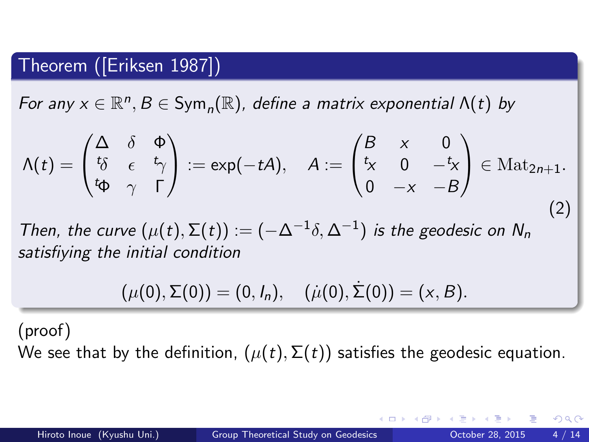### Theorem ([\[Eriksen 1987\]](#page-13-1))

For any  $x \in \mathbb{R}^n$ ,  $B \in \text{Sym}_n(\mathbb{R})$ , define a matrix exponential  $\Lambda(t)$  by

$$
\Lambda(t) = \begin{pmatrix} \Delta & \delta & \Phi \\ t\delta & \epsilon & t\gamma \\ t\Phi & \gamma & \Gamma \end{pmatrix} := \exp(-tA), \quad A := \begin{pmatrix} B & x & 0 \\ t_x & 0 & -t_x \\ 0 & -x & -B \end{pmatrix} \in \text{Mat}_{2n+1}.
$$
\n(2)

Then, the curve  $(\mu(t), \Sigma(t)) := (-\Delta^{-1}\delta, \Delta^{-1})$  is the geodesic on  $N_n$ satisfiying the initial condition

$$
(\mu(0),\Sigma(0))=(0,I_n),\quad (\mu(0),\dot{\Sigma}(0))=(x,B).
$$

(proof)

We see that by the definition,  $(\mu(t), \Sigma(t))$  satisfies the geodesic equation.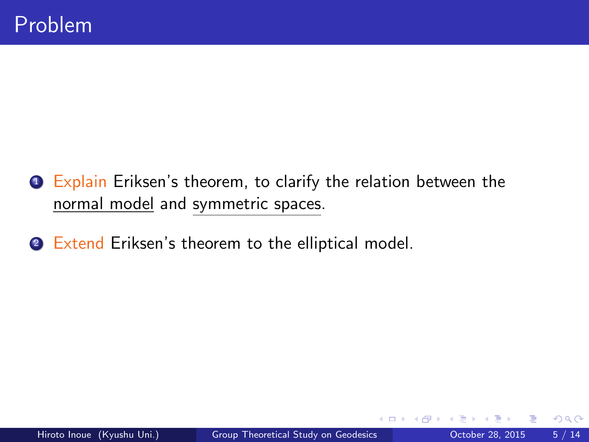- **1** Explain Eriksen's theorem, to clarify the relation between the normal model and symmetric spaces.
- 2 Extend Eriksen's theorem to the elliptical model.

4 D F

 $299$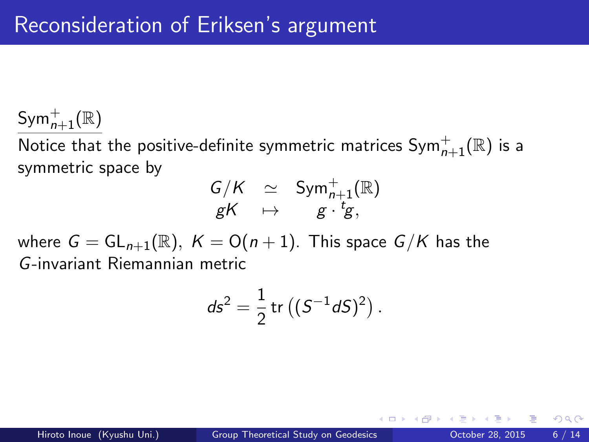<span id="page-5-0"></span> $\mathsf{Sym}_{n+1}^+(\mathbb{R})$ 

Notice that the positive-definite symmetric matrices  $\mathsf{Sym}_{n+1}^+(\mathbb{R})$  is a symmetric space by

$$
\begin{array}{lcl} G/K & \simeq & \text{Sym}_{n+1}^+(\mathbb{R}) \\ gK & \mapsto & g \cdot {}^t\!g, \end{array}
$$

where  $G = GL_{n+1}(\mathbb{R}), K = O(n+1)$ . This space  $G/K$  has the G-invariant Riemannian metric

$$
ds^2 = \frac{1}{2} \, \text{tr} \left( (S^{-1} dS)^2 \right).
$$

 $200$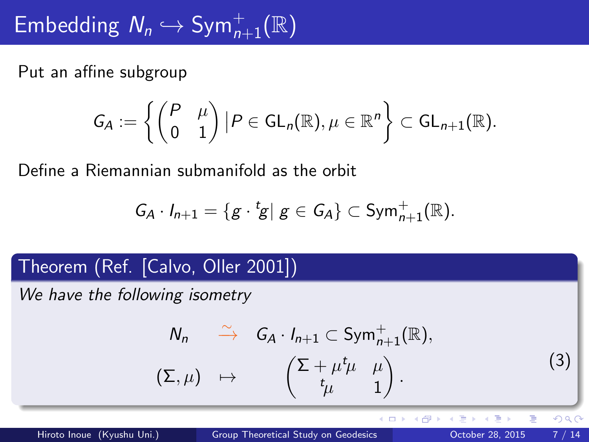<span id="page-6-0"></span>Put an affine subgroup

$$
G_A:=\left\{\begin{pmatrix} P & \mu \\ 0 & 1 \end{pmatrix} | P \in GL_n(\mathbb{R}), \mu \in \mathbb{R}^n \right\} \subset GL_{n+1}(\mathbb{R}).
$$

Define a Riemannian submanifold as the orbit

$$
G_A \cdot I_{n+1} = \{ g \cdot {}^t g | g \in G_A \} \subset \text{Sym}_{n+1}^+(\mathbb{R}).
$$

## Theorem (Ref. [\[Calvo, Oller 2001\]](#page-13-2))

We have the following isometry

$$
N_n \xrightarrow{\sim} G_A \cdot I_{n+1} \subset \text{Sym}_{n+1}^+(\mathbb{R}),
$$
  

$$
(\Sigma, \mu) \mapsto \begin{pmatrix} \Sigma + \mu^t \mu & \mu \\ t_{\mu} & 1 \end{pmatrix}.
$$
 (3)

4 D F

 $QQ$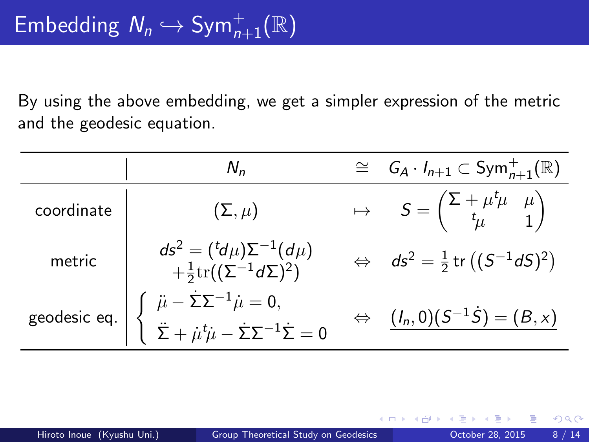By using the above embedding, we get a simpler expression of the metric and the geodesic equation.

|            | $N_{n}$                                                                                                                                                                               | $\cong$ $G_A \cdot I_{n+1} \subset Sym_{n+1}^+(\mathbb{R})$                         |
|------------|---------------------------------------------------------------------------------------------------------------------------------------------------------------------------------------|-------------------------------------------------------------------------------------|
| coordinate | $(\Sigma, \mu)$                                                                                                                                                                       | $\mapsto$ $S = \begin{pmatrix} \Sigma + \mu^t \mu & \mu \\ t_\mu & 1 \end{pmatrix}$ |
| metric     | $ds^2 = {^td\mu)\Sigma^{-1}(d\mu)}$<br>$+ \frac{1}{2} \text{tr}((\Sigma^{-1}d\Sigma)^2)$                                                                                              | $\Leftrightarrow$ $ds^2 = \frac{1}{2}$ tr $((S^{-1}dS)^2)$                          |
|            | geodesic eq. $\begin{cases} \n\ddot{\mu} - \dot{\Sigma} \Sigma^{-1} \dot{\mu} = 0, \\ \ddot{\Sigma} + \dot{\mu}^t \dot{\mu} - \dot{\Sigma} \Sigma^{-1} \dot{\Sigma} = 0\n\end{cases}$ | $\Leftrightarrow$ $(l_n,0)(S^{-1}\dot{S}) = (B,x)$                                  |

4 D F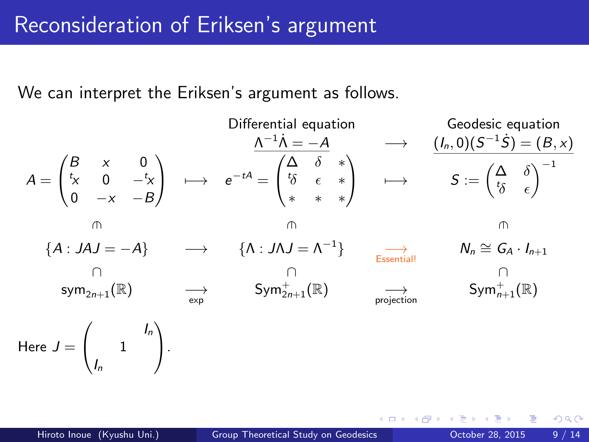<span id="page-8-0"></span>We can interpret the Eriksen's argument as follows.

\nDifferential equation\n

\n
$$
A = \begin{pmatrix}\nB & x & 0 \\
t_X & 0 & -t_X \\
0 & -x & -B\n\end{pmatrix}\n\quad \longrightarrow\n\quad e^{-tA} = \begin{pmatrix}\n\Delta & \delta & * \\
t_{\delta} & \epsilon & * \\
* & * & * \n\end{pmatrix}\n\quad \longrightarrow\n\quad S := \begin{pmatrix}\n\Delta & \delta \\
t_{\delta} & \epsilon\n\end{pmatrix}^{-1}
$$
\n\n\n
$$
\begin{pmatrix}\nA : JAJ = -A\n\end{pmatrix}\n\quad \longrightarrow\n\quad S \longrightarrow\n\quad \begin{pmatrix}\n\Delta & \delta & * \\
\delta & \epsilon & * \\
* & * & * \n\end{pmatrix}\n\quad \longrightarrow\n\quad S := \begin{pmatrix}\n\Delta & \delta \\
t_{\delta} & \epsilon\n\end{pmatrix}^{-1}
$$
\n

\n\n
$$
\begin{pmatrix}\n\Delta & \delta & * \\
\delta & \epsilon & * \\
* & * & * \n\end{pmatrix}\n\quad \longrightarrow\n\quad S := \begin{pmatrix}\n\Delta & \delta \\
t_{\delta} & \epsilon\n\end{pmatrix}^{-1}
$$
\n

\n\n
$$
\begin{pmatrix}\n\Delta & \delta & * \\
\delta & \epsilon & * \\
* & * & * \n\end{pmatrix}\n\quad \longrightarrow\n\quad S := \begin{pmatrix}\n\Delta & \delta \\
t_{\delta} & \epsilon\n\end{pmatrix}^{-1}
$$
\n

\n\n
$$
\begin{pmatrix}\n\delta & \delta & * \\
\delta & \epsilon & * \\
* & * & * \n\end{pmatrix}\n\quad \longrightarrow\n\quad S := \begin{pmatrix}\n\Delta & \delta \\
t_{\delta} & \epsilon\n\end{pmatrix}^{-1}
$$
\n

\n\n
$$
\begin{pmatrix}\n\delta & \delta & * \\
\delta & \epsilon & * \\
* & * & * \n\end{pmatrix}\n\quad \longrightarrow\n\quad S := \begin{pmatrix}\n\Delta & \delta \\
t_{\delta} & \epsilon\n\end{pmatrix}^{-1}
$$
\n

\n\n<

**∢ ⊡** 

 $QQ$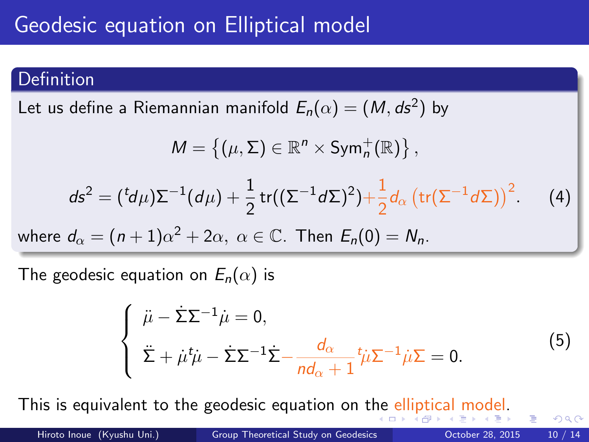# <span id="page-9-0"></span>Geodesic equation on Elliptical model

#### Definition

Let us define a Riemannian manifold  $E_n(\alpha)=(\mathcal{M},ds^2)$  by

$$
\mathsf{M}=\left\{(\mu,\Sigma)\in\mathbb{R}^n\times\mathsf{Sym}_n^+(\mathbb{R})\right\},
$$

<span id="page-9-1"></span>
$$
ds^2 = ({}^t\!d\mu)\Sigma^{-1}(d\mu) + \frac{1}{2}\operatorname{tr}((\Sigma^{-1}d\Sigma)^2) + \frac{1}{2}d_{\alpha}\left(\operatorname{tr}(\Sigma^{-1}d\Sigma)\right)^2 \qquad (4)
$$

where  $d_{\alpha} = (n+1)\alpha^2 + 2\alpha, \ \alpha \in \mathbb{C}$ . Then  $E_n(0) = N_n$ .

The geodesic equation on  $E_n(\alpha)$  is

<span id="page-9-2"></span>
$$
\begin{cases} \n\ddot{\mu} - \dot{\Sigma} \Sigma^{-1} \dot{\mu} = 0, \\
\ddot{\Sigma} + \dot{\mu}^t \dot{\mu} - \dot{\Sigma} \Sigma^{-1} \dot{\Sigma} - \frac{d_{\alpha}}{n d_{\alpha} + 1} t \dot{\mu} \Sigma^{-1} \dot{\mu} \Sigma = 0. \n\end{cases} \tag{5}
$$

This is equivalent to t[he](#page-8-0) geodesic equation on the [ell](#page-10-0)[i](#page-8-0)[pti](#page-9-0)[c](#page-10-0)[al](#page-8-0) [m](#page-11-0)[o](#page-12-0)[d](#page-8-0)[e](#page-9-0)[l](#page-11-0)[.](#page-12-0)

 $QQ$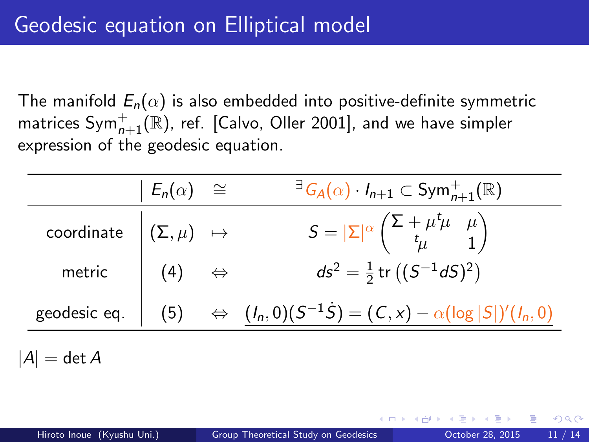<span id="page-10-0"></span>The manifold  $E_n(\alpha)$  is also embedded into positive-definite symmetric matrices  $\mathsf{Sym}_{n+1}^+(\mathbb{R})$ , ref. [\[Calvo, Oller 2001\]](#page-13-2), and we have simpler expression of the geodesic equation.

|                                                         | $ E_n(\alpha)  \cong$ | $\exists G_A(\alpha) \cdot I_{n+1} \subset Sym_{n+1}^+(\mathbb{R})$                                 |
|---------------------------------------------------------|-----------------------|-----------------------------------------------------------------------------------------------------|
| $\textsf{coordinate} \ \Big  \ (\Sigma, \mu) \ \mapsto$ |                       | $S =  \Sigma ^{\alpha} \begin{pmatrix} \Sigma + \mu^t \mu & \mu \\ t_{\mu} & 1 \end{pmatrix}$       |
| metric $(4) \Leftrightarrow$                            |                       | $ds^2 = \frac{1}{2}$ tr $((S^{-1}dS)^2)$                                                            |
|                                                         |                       | geodesic eq. $(5)$ $\Leftrightarrow$ $(l_n, 0)(S^{-1}\dot{S}) = (C, x) - \alpha(\log  S )'(l_n, 0)$ |
|                                                         |                       |                                                                                                     |

 $|A| = \det A$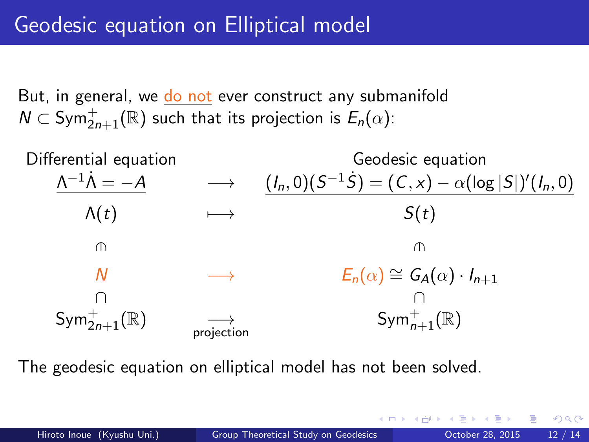<span id="page-11-0"></span>But, in general, we do not ever construct any submanifold  $\mathsf{N}\subset \mathsf{Sym}^+_{2n+1}(\mathbb{R})$  such that its projection is  $\mathsf{E}_n(\alpha)$ :



The geodesic equation on elliptical model has not been solved.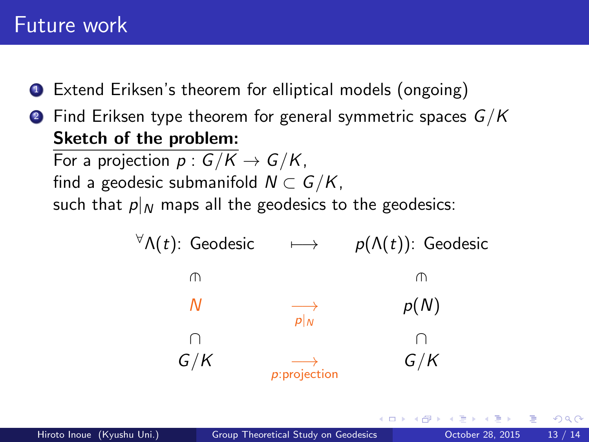## <span id="page-12-0"></span>Future work

- <sup>1</sup> Extend Eriksen's theorem for elliptical models (ongoing)
- **2** Find Eriksen type theorem for general symmetric spaces  $G/K$ Sketch of the problem:

For a projection  $p: G/K \to G/K$ , find a geodesic submanifold  $N \subset G/K$ . such that  $p|_N$  maps all the geodesics to the geodesics: